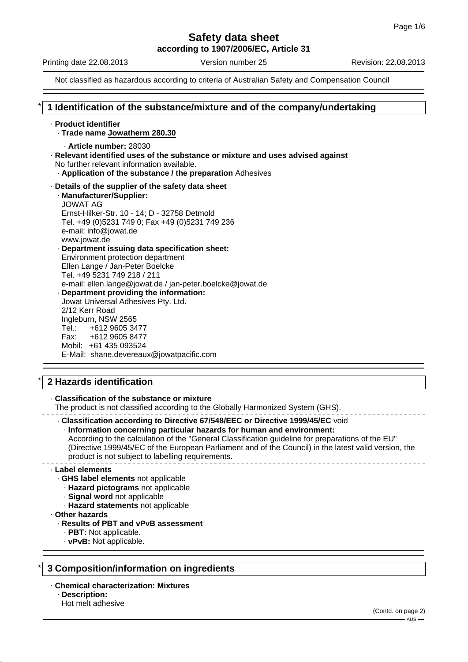**according to 1907/2006/EC, Article 31**

Printing date 22.08.2013 Version number 25 Revision: 22.08.2013

Not classified as hazardous according to criteria of Australian Safety and Compensation Council

# \* **1 Identification of the substance/mixture and of the company/undertaking**

· **Product identifier** · **Trade name Jowatherm 280.30** · **Article number:** 28030 · **Relevant identified uses of the substance or mixture and uses advised against** No further relevant information available. · **Application of the substance / the preparation** Adhesives · **Details of the supplier of the safety data sheet** · **Manufacturer/Supplier:** JOWAT AG Ernst-Hilker-Str. 10 - 14; D - 32758 Detmold Tel. +49 (0)5231 749 0; Fax +49 (0)5231 749 236 e-mail: info@jowat.de www.jowat.de · **Department issuing data specification sheet:** Environment protection department Ellen Lange / Jan-Peter Boelcke Tel. +49 5231 749 218 / 211 e-mail: ellen.lange@jowat.de / jan-peter.boelcke@jowat.de · **Department providing the information:** Jowat Universal Adhesives Pty. Ltd. 2/12 Kerr Road Ingleburn, NSW 2565 Tel.: +612 9605 3477 Fax: +612 9605 8477 Mobil: +61 435 093524 E-Mail: shane.devereaux@jowatpacific.com

# \* **2 Hazards identification**

· **Classification of the substance or mixture**

The product is not classified according to the Globally Harmonized System (GHS).

· **Classification according to Directive 67/548/EEC or Directive 1999/45/EC** void

· **Information concerning particular hazards for human and environment:**

According to the calculation of the "General Classification guideline for preparations of the EU" (Directive 1999/45/EC of the European Parliament and of the Council) in the latest valid version, the product is not subject to labelling requirements.

#### · **Label elements**

- · **GHS label elements** not applicable
	- · **Hazard pictograms** not applicable
- · **Signal word** not applicable
	- · **Hazard statements** not applicable
- · **Other hazards**

#### · **Results of PBT and vPvB assessment**

- · **PBT:** Not applicable.
- · **vPvB:** Not applicable.

# \* **3 Composition/information on ingredients**

· **Chemical characterization: Mixtures**

- · **Description:**
- Hot melt adhesive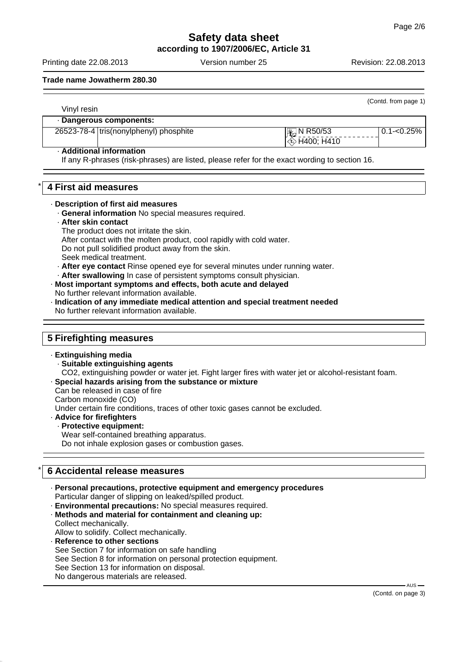**according to 1907/2006/EC, Article 31**

Printing date 22.08.2013 Version number 25 Revision: 22.08.2013

**Trade name Jowatherm 280.30**

| Vinyl resin |                                        |                      | (Contd. from page 1) |
|-------------|----------------------------------------|----------------------|----------------------|
|             | Dangerous components:                  |                      |                      |
|             | 26523-78-4 tris(nonylphenyl) phosphite | Large N R50/53       | l 0.1-<0.25% l       |
|             |                                        | $\otimes$ H400; H410 |                      |

# · **Additional information**

If any R-phrases (risk-phrases) are listed, please refer for the exact wording to section 16.

# \* **4 First aid measures**

#### · **Description of first aid measures**

· **General information** No special measures required.

#### · **After skin contact**

The product does not irritate the skin. After contact with the molten product, cool rapidly with cold water. Do not pull solidified product away from the skin. Seek medical treatment.

- · **After eye contact** Rinse opened eye for several minutes under running water.
- After swallowing In case of persistent symptoms consult physician.

### · **Most important symptoms and effects, both acute and delayed**

No further relevant information available.

· **Indication of any immediate medical attention and special treatment needed** No further relevant information available.

# **5 Firefighting measures**

- · **Extinguishing media** · **Suitable extinguishing agents** CO2, extinguishing powder or water jet. Fight larger fires with water jet or alcohol-resistant foam.
- · **Special hazards arising from the substance or mixture**

Can be released in case of fire

Carbon monoxide (CO)

Under certain fire conditions, traces of other toxic gases cannot be excluded.

#### · **Advice for firefighters**

· **Protective equipment:** Wear self-contained breathing apparatus.

Do not inhale explosion gases or combustion gases.

# \* **6 Accidental release measures**

- · **Personal precautions, protective equipment and emergency procedures** Particular danger of slipping on leaked/spilled product.
- · **Environmental precautions:** No special measures required.
- · **Methods and material for containment and cleaning up:** Collect mechanically.

Allow to solidify. Collect mechanically.

· **Reference to other sections** See Section 7 for information on safe handling See Section 8 for information on personal protection equipment. See Section 13 for information on disposal. No dangerous materials are released.

 $-$  AUS  $-$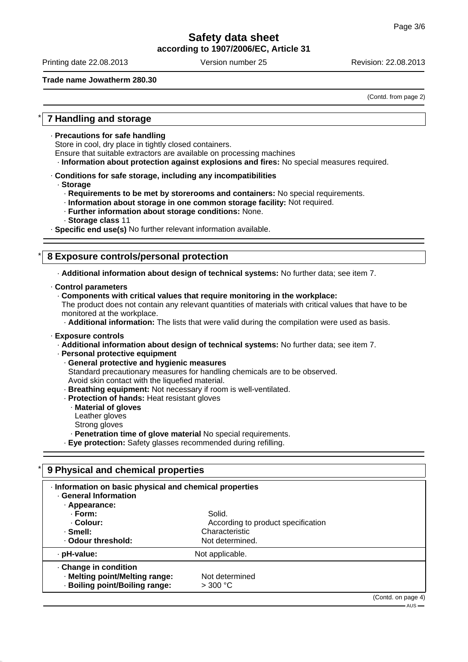# **Safety data sheet according to 1907/2006/EC, Article 31**

Printing date 22.08.2013 Version number 25 Revision: 22.08.2013

**Trade name Jowatherm 280.30**

(Contd. from page 2)

# \* **7 Handling and storage**

· **Precautions for safe handling**

Store in cool, dry place in tightly closed containers.

Ensure that suitable extractors are available on processing machines

· **Information about protection against explosions and fires:** No special measures required.

· **Conditions for safe storage, including any incompatibilities**

#### · **Storage**

- · **Requirements to be met by storerooms and containers:** No special requirements.
- · **Information about storage in one common storage facility:** Not required.
- · **Further information about storage conditions:** None.
- · **Storage class** 11

· **Specific end use(s)** No further relevant information available.

# \* **8 Exposure controls/personal protection**

· **Additional information about design of technical systems:** No further data; see item 7.

- · **Control parameters**
	- · **Components with critical values that require monitoring in the workplace:**

The product does not contain any relevant quantities of materials with critical values that have to be monitored at the workplace.

· **Additional information:** The lists that were valid during the compilation were used as basis.

#### · **Exposure controls**

- · **Additional information about design of technical systems:** No further data; see item 7.
- · **Personal protective equipment**
	- · **General protective and hygienic measures**

Standard precautionary measures for handling chemicals are to be observed. Avoid skin contact with the liquefied material.

- · **Breathing equipment:** Not necessary if room is well-ventilated.
- · **Protection of hands:** Heat resistant gloves
	- · **Material of gloves**
	- Leather gloves
	- Strong gloves
- · **Penetration time of glove material** No special requirements.
- · **Eye protection:** Safety glasses recommended during refilling.

| 9 Physical and chemical properties                                                              |                                                                                   |                    |  |  |
|-------------------------------------------------------------------------------------------------|-----------------------------------------------------------------------------------|--------------------|--|--|
| Information on basic physical and chemical properties<br>· General Information<br>· Appearance: |                                                                                   |                    |  |  |
| · Form:<br>· Colour:<br>. Smell:<br>· Odour threshold:                                          | Solid.<br>According to product specification<br>Characteristic<br>Not determined. |                    |  |  |
| · pH-value:                                                                                     | Not applicable.                                                                   |                    |  |  |
| Change in condition<br>· Melting point/Melting range:<br>· Boiling point/Boiling range:         | Not determined<br>$>$ 300 °C                                                      |                    |  |  |
|                                                                                                 |                                                                                   | (Contd. on page 4) |  |  |

.<br>- AUS -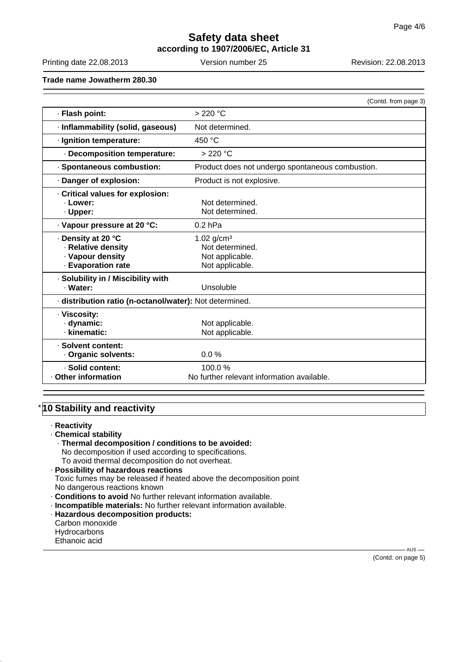# **Safety data sheet according to 1907/2006/EC, Article 31**

Printing date 22.08.2013 Version number 25 Revision: 22.08.2013

**Trade name Jowatherm 280.30**

|                                                         | (Contd. from page 3)                             |  |  |
|---------------------------------------------------------|--------------------------------------------------|--|--|
| · Flash point:                                          | $>220$ °C                                        |  |  |
| · Inflammability (solid, gaseous)                       | Not determined.                                  |  |  |
| · Ignition temperature:                                 | 450 °C                                           |  |  |
| · Decomposition temperature:                            | $>220$ °C                                        |  |  |
| · Spontaneous combustion:                               | Product does not undergo spontaneous combustion. |  |  |
| Danger of explosion:                                    | Product is not explosive.                        |  |  |
| Critical values for explosion:                          |                                                  |  |  |
| · Lower:                                                | Not determined.                                  |  |  |
| · Upper:                                                | Not determined.                                  |  |  |
| · Vapour pressure at 20 °C:                             | $0.2$ hPa                                        |  |  |
| . Density at 20 °C                                      | 1.02 $g/cm^{3}$                                  |  |  |
| · Relative density                                      | Not determined.                                  |  |  |
| · Vapour density                                        | Not applicable.                                  |  |  |
| · Evaporation rate                                      | Not applicable.                                  |  |  |
| · Solubility in / Miscibility with                      |                                                  |  |  |
| · Water:                                                | Unsoluble                                        |  |  |
| · distribution ratio (n-octanol/water): Not determined. |                                                  |  |  |
| · Viscosity:                                            |                                                  |  |  |
| · dynamic:                                              | Not applicable.                                  |  |  |
| · kinematic:                                            | Not applicable.                                  |  |  |
| · Solvent content:                                      |                                                  |  |  |
| Organic solvents:                                       | $0.0\%$                                          |  |  |
| · Solid content:                                        | 100.0%                                           |  |  |
| Other information                                       | No further relevant information available.       |  |  |

# **10 Stability and reactivity**

- · **Reactivity**
- · **Chemical stability**
	- · **Thermal decomposition / conditions to be avoided:**
	- No decomposition if used according to specifications.
	- To avoid thermal decomposition do not overheat.

· **Possibility of hazardous reactions** Toxic fumes may be released if heated above the decomposition point No dangerous reactions known

- · **Conditions to avoid** No further relevant information available.
- · **Incompatible materials:** No further relevant information available.
- · **Hazardous decomposition products:** Carbon monoxide
- **Hydrocarbons**
- Ethanoic acid

(Contd. on page 5)

 $-AUS$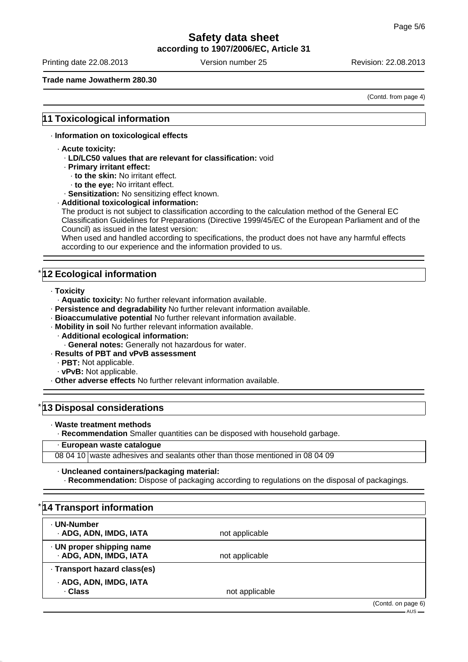**according to 1907/2006/EC, Article 31**

Printing date 22.08.2013 Version number 25 Revision: 22.08.2013

#### **Trade name Jowatherm 280.30**

(Contd. from page 4)

# **11 Toxicological information**

#### · **Information on toxicological effects**

- · **Acute toxicity:**
	- · **LD/LC50 values that are relevant for classification:** void
	- · **Primary irritant effect:**
		- · **to the skin:** No irritant effect.
		- · **to the eye:** No irritant effect.
	- · **Sensitization:** No sensitizing effect known.
- · **Additional toxicological information:**

The product is not subject to classification according to the calculation method of the General EC Classification Guidelines for Preparations (Directive 1999/45/EC of the European Parliament and of the Council) as issued in the latest version:

When used and handled according to specifications, the product does not have any harmful effects according to our experience and the information provided to us.

# **12 Ecological information**

- · **Toxicity**
	- · **Aquatic toxicity:** No further relevant information available.
- · **Persistence and degradability** No further relevant information available.
- · **Bioaccumulative potential** No further relevant information available.
- · **Mobility in soil** No further relevant information available.
	- · **Additional ecological information:**
	- · **General notes:** Generally not hazardous for water.
- · **Results of PBT and vPvB assessment**
	- · **PBT:** Not applicable.
	- · **vPvB:** Not applicable.
- · **Other adverse effects** No further relevant information available.

### **13 Disposal considerations**

· **Waste treatment methods**

· **Recommendation** Smaller quantities can be disposed with household garbage.

#### · **European waste catalogue**

08 04 10 waste adhesives and sealants other than those mentioned in 08 04 09

#### · **Uncleaned containers/packaging material:**

· **Recommendation:** Dispose of packaging according to regulations on the disposal of packagings.

| *14 Transport information                           |                |                                   |
|-----------------------------------------------------|----------------|-----------------------------------|
| · UN-Number<br>· ADG, ADN, IMDG, IATA               | not applicable |                                   |
| · UN proper shipping name<br>· ADG, ADN, IMDG, IATA | not applicable |                                   |
| · Transport hazard class(es)                        |                |                                   |
| · ADG, ADN, IMDG, IATA<br>· Class                   | not applicable |                                   |
|                                                     |                | (Contd. on page 6)<br>$-$ AUS $-$ |